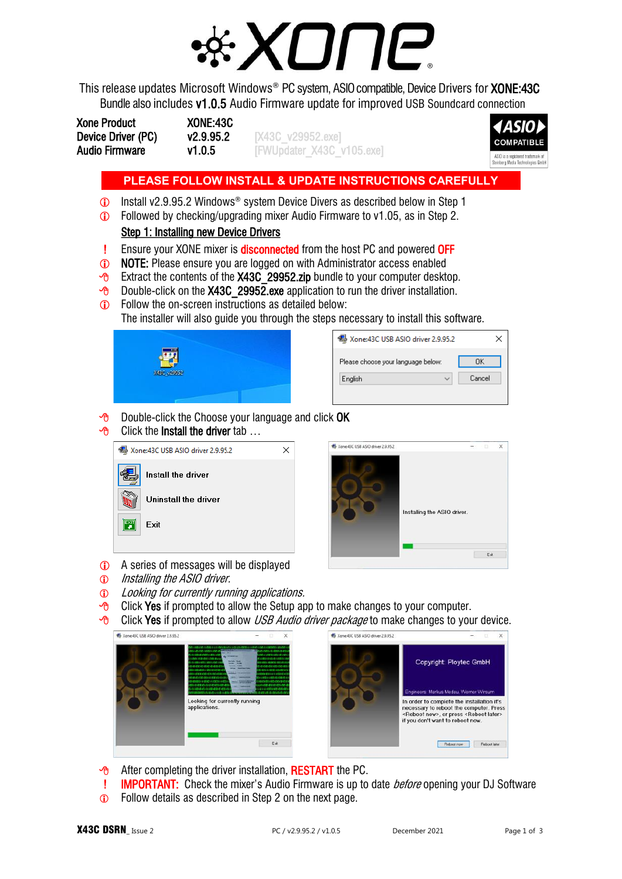

This release updates Microsoft Windows<sup>®</sup> PC system, ASIO compatible, Device Drivers for **XONE:43C** Bundle also includes v1.0.5 Audio Firmware update for improved USB Soundcard connection

| <b>Xone Product</b>   | XONE:43C  |                           |
|-----------------------|-----------|---------------------------|
| Device Driver (PC)    | v2.9.95.2 | [X43C v29952.exe]         |
| <b>Audio Firmware</b> | v1.0.5    | [FWUpdater X43C v105.exe] |



# **PLEASE FOLLOW INSTALL & UPDATE INSTRUCTIONS CAREFULLY**

- Install v2.9.95.2 Windows® system Device Divers as described below in Step 1
- Followed by checking/upgrading mixer Audio Firmware to v1.05, as in Step 2. Step 1: Installing new Device Drivers
- **Ensure your XONE mixer is disconnected** from the host PC and powered OFF
- **1** NOTE: Please ensure you are logged on with Administrator access enabled
- $\sqrt{6}$  Extract the contents of the X43C 29952.zip bundle to your computer desktop.
- $\sqrt{6}$  Double-click on the X43C 29952.exe application to run the driver installation.
- **C** Follow the on-screen instructions as detailed below:

The installer will also guide you through the steps necessary to install this software.

| $\overline{\phantom{a}}$ |  |
|--------------------------|--|
|                          |  |
| X4BC_v28852              |  |
|                          |  |
|                          |  |

| Xone:43C USB ASIO driver 2.9.95.2        |        |
|------------------------------------------|--------|
| Please choose your language below:<br>ΠK |        |
| English                                  | Cancel |
|                                          |        |

- $\Theta$  Double-click the Choose your language and click OK
- $\overline{P}$  Click the **Install the driver** tab ...

| Xone:43C USB ASIO driver 2.9.95.2 |                      |  |
|-----------------------------------|----------------------|--|
|                                   | Install the driver   |  |
|                                   | Uninstall the driver |  |
| FXT                               | <b>Fxit</b>          |  |
|                                   |                      |  |



- A series of messages will be displayed
- $\odot$  Installing the ASIO driver.
- **C** Looking for currently running applications.
- $\Theta$  Click Yes if prompted to allow the Setup app to make changes to your computer.
- $\sqrt{6}$  Click Yes if prompted to allow *USB Audio driver package* to make changes to your device.



- $\sqrt{\theta}$  After completing the driver installation, **RESTART** the PC.
- **IMPORTANT:** Check the mixer's Audio Firmware is up to date *before* opening your DJ Software
- **C** Follow details as described in Step 2 on the next page.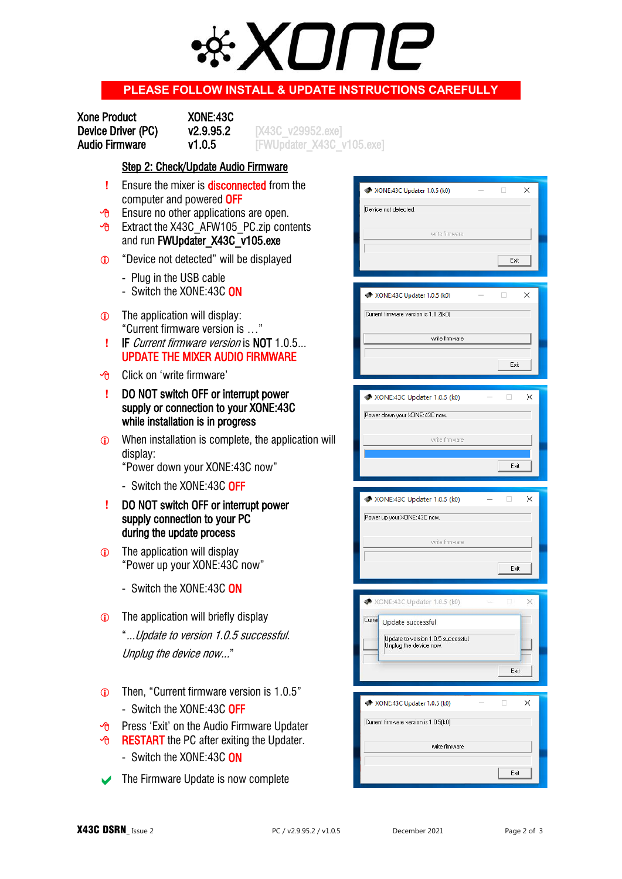

## **PLEASE FOLLOW INSTALL & UPDATE INSTRUCTIONS CAREFULLY**

| <b>Xone Product</b>   | XONE:43C  |  |
|-----------------------|-----------|--|
| Device Driver (PC)    | v2.9.95.2 |  |
| <b>Audio Firmware</b> | v1.0.5    |  |

Device Driver (PC) v2.9.95.2 [X43C\_v29952.exe] [FWUpdater\_X43C\_v105.exe]

#### Step 2: Check/Update Audio Firmware

- **!** Ensure the mixer is **disconnected** from the computer and powered OFF
- $\overline{P}$  Ensure no other applications are open.
- $\sqrt{6}$  Extract the X43C AFW105 PC.zip contents and run FWUpdater\_X43C\_v105.exe
- "Device not detected" will be displayed
	- Plug in the USB cable
	- Switch the XONE:43C ON
- The application will display: "Current firmware version is …"
- **!** IF Current firmware version is NOT 1.0.5... UPDATE THE MIXER AUDIO FIRMWARE
- Click on 'write firmware'
- **!** DO NOT switch OFF or interrupt power supply or connection to your XONE:43C while installation is in progress
- **C** When installation is complete, the application will display:
	- "Power down your XONE:43C now"
	- Switch the XONE:43C OFF
- **!** DO NOT switch OFF or interrupt power supply connection to your PC during the update process
- **The application will display**  "Power up your XONE:43C now"
	- Switch the XONE:43C ON
- **The application will briefly display**  "...Update to version 1.0.5 successful. Unplug the device now..."
- Then, "Current firmware version is 1.0.5" - Switch the XONE:43C OFF
- **Press 'Exit' on the Audio Firmware Updater**
- **B** RESTART the PC after exiting the Updater.
	- Switch the XONE:43C ON
- The Firmware Update is now complete

| WA XONE:43C Updater 1.0.5 (k0)        | ×       |
|---------------------------------------|---------|
|                                       |         |
| Device not detected.                  |         |
|                                       |         |
| write firmware                        |         |
|                                       |         |
|                                       |         |
|                                       | Exit    |
|                                       |         |
|                                       |         |
| WA XONE:43C Updater 1.0.5 (k0)        | ×       |
|                                       |         |
| Current firmware version is 1.0.2(k0) |         |
|                                       |         |
| write firmware                        |         |
|                                       |         |
|                                       | Exit    |
|                                       |         |
|                                       |         |
| <b>W</b> XONE:43C Updater 1.0.5 (k0)  | ×       |
|                                       |         |
| Power down your XONE:43C now.         |         |
|                                       |         |
| write firmware                        |         |
|                                       |         |
|                                       | Exit    |
|                                       |         |
|                                       |         |
|                                       |         |
|                                       |         |
| <b>W</b> XONE:43C Updater 1.0.5 (k0)  | ×       |
| Power up your XONE: 43C now.          |         |
|                                       |         |
| write firmware                        |         |
|                                       |         |
|                                       |         |
|                                       | Exit    |
|                                       |         |
|                                       |         |
| XONE:43C Updater 1.0.5 (k0)           | a)<br>× |
| Curren                                |         |
| Update successful                     |         |
| Update to version 1.0.5 successful.   |         |
| Unplug the device now.                |         |
|                                       |         |
|                                       | Exit    |
|                                       |         |
|                                       |         |
| XONE:43C Updater 1.0.5 (k0)           | ×       |
|                                       |         |
| Current firmware version is 1.0.5(k0) |         |
|                                       |         |
| write firmware                        |         |
|                                       |         |
|                                       | Exit    |